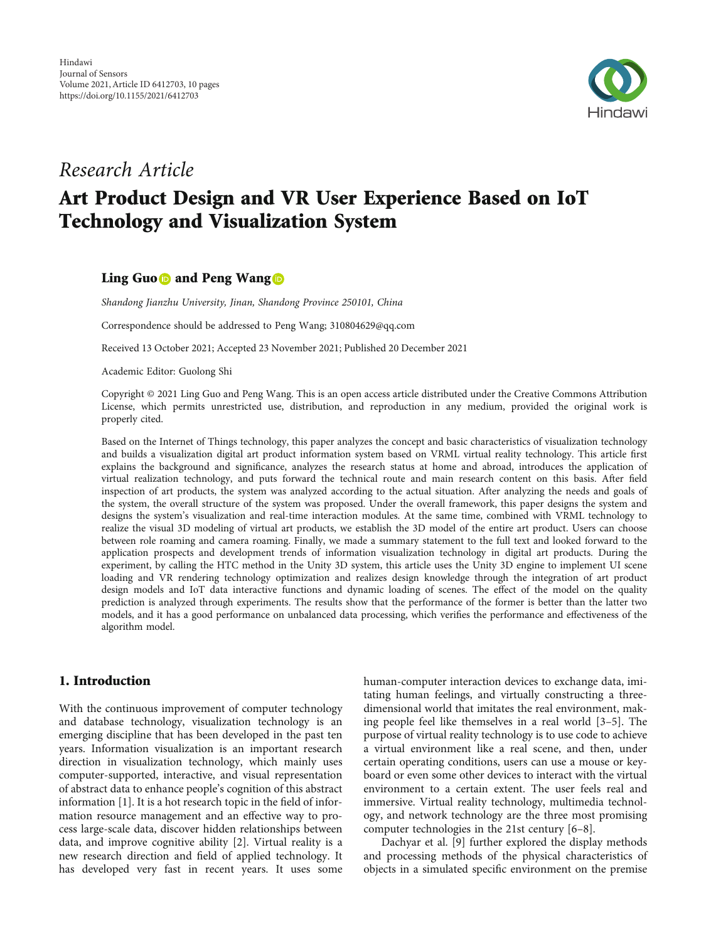

## Research Article

# Art Product Design and VR User Experience Based on IoT Technology and Visualization System

### Ling Guo **b** and Peng Wang **b**

Shandong Jianzhu University, Jinan, Shandong Province 250101, China

Correspondence should be addressed to Peng Wang; 310804629@qq.com

Received 13 October 2021; Accepted 23 November 2021; Published 20 December 2021

Academic Editor: Guolong Shi

Copyright © 2021 Ling Guo and Peng Wang. This is an open access article distributed under the [Creative Commons Attribution](https://creativecommons.org/licenses/by/4.0/) [License,](https://creativecommons.org/licenses/by/4.0/) which permits unrestricted use, distribution, and reproduction in any medium, provided the original work is properly cited.

Based on the Internet of Things technology, this paper analyzes the concept and basic characteristics of visualization technology and builds a visualization digital art product information system based on VRML virtual reality technology. This article first explains the background and significance, analyzes the research status at home and abroad, introduces the application of virtual realization technology, and puts forward the technical route and main research content on this basis. After field inspection of art products, the system was analyzed according to the actual situation. After analyzing the needs and goals of the system, the overall structure of the system was proposed. Under the overall framework, this paper designs the system and designs the system's visualization and real-time interaction modules. At the same time, combined with VRML technology to realize the visual 3D modeling of virtual art products, we establish the 3D model of the entire art product. Users can choose between role roaming and camera roaming. Finally, we made a summary statement to the full text and looked forward to the application prospects and development trends of information visualization technology in digital art products. During the experiment, by calling the HTC method in the Unity 3D system, this article uses the Unity 3D engine to implement UI scene loading and VR rendering technology optimization and realizes design knowledge through the integration of art product design models and IoT data interactive functions and dynamic loading of scenes. The effect of the model on the quality prediction is analyzed through experiments. The results show that the performance of the former is better than the latter two models, and it has a good performance on unbalanced data processing, which verifies the performance and effectiveness of the algorithm model.

#### 1. Introduction

With the continuous improvement of computer technology and database technology, visualization technology is an emerging discipline that has been developed in the past ten years. Information visualization is an important research direction in visualization technology, which mainly uses computer-supported, interactive, and visual representation of abstract data to enhance people's cognition of this abstract information [[1\]](#page-9-0). It is a hot research topic in the field of information resource management and an effective way to process large-scale data, discover hidden relationships between data, and improve cognitive ability [\[2](#page-9-0)]. Virtual reality is a new research direction and field of applied technology. It has developed very fast in recent years. It uses some

human-computer interaction devices to exchange data, imitating human feelings, and virtually constructing a threedimensional world that imitates the real environment, making people feel like themselves in a real world [[3](#page-9-0)–[5\]](#page-9-0). The purpose of virtual reality technology is to use code to achieve a virtual environment like a real scene, and then, under certain operating conditions, users can use a mouse or keyboard or even some other devices to interact with the virtual environment to a certain extent. The user feels real and immersive. Virtual reality technology, multimedia technology, and network technology are the three most promising computer technologies in the 21st century [[6](#page-9-0)–[8](#page-9-0)].

Dachyar et al. [\[9](#page-9-0)] further explored the display methods and processing methods of the physical characteristics of objects in a simulated specific environment on the premise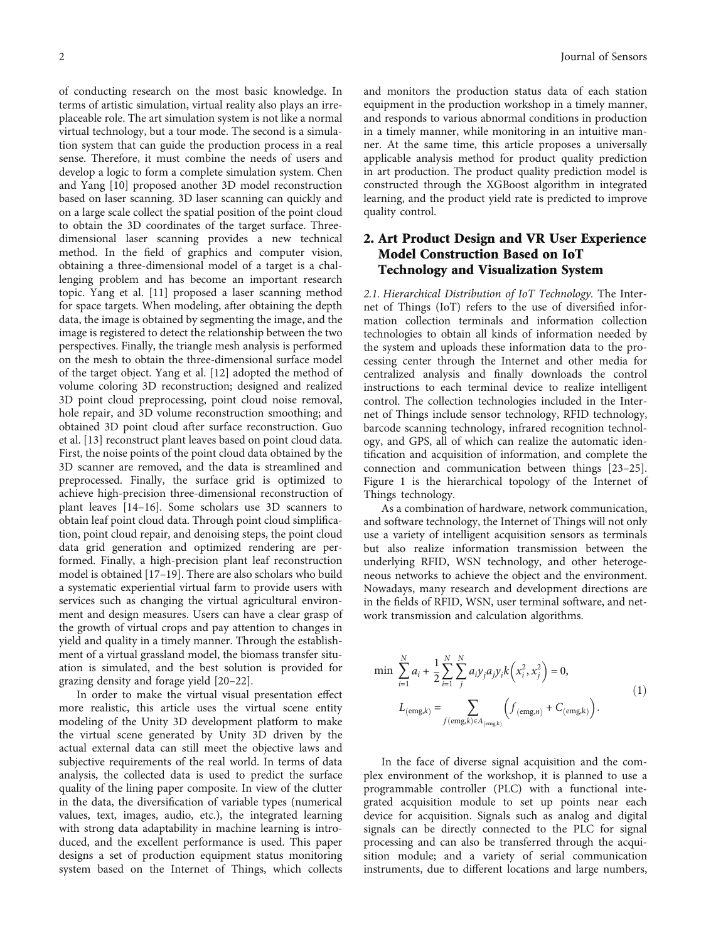of conducting research on the most basic knowledge. In terms of artistic simulation, virtual reality also plays an irreplaceable role. The art simulation system is not like a normal virtual technology, but a tour mode. The second is a simulation system that can guide the production process in a real sense. Therefore, it must combine the needs of users and develop a logic to form a complete simulation system. Chen and Yang [\[10\]](#page-9-0) proposed another 3D model reconstruction based on laser scanning. 3D laser scanning can quickly and on a large scale collect the spatial position of the point cloud to obtain the 3D coordinates of the target surface. Threedimensional laser scanning provides a new technical method. In the field of graphics and computer vision, obtaining a three-dimensional model of a target is a challenging problem and has become an important research topic. Yang et al. [[11\]](#page-9-0) proposed a laser scanning method for space targets. When modeling, after obtaining the depth data, the image is obtained by segmenting the image, and the image is registered to detect the relationship between the two perspectives. Finally, the triangle mesh analysis is performed on the mesh to obtain the three-dimensional surface model of the target object. Yang et al. [[12](#page-9-0)] adopted the method of volume coloring 3D reconstruction; designed and realized 3D point cloud preprocessing, point cloud noise removal, hole repair, and 3D volume reconstruction smoothing; and obtained 3D point cloud after surface reconstruction. Guo et al. [\[13](#page-9-0)] reconstruct plant leaves based on point cloud data. First, the noise points of the point cloud data obtained by the 3D scanner are removed, and the data is streamlined and preprocessed. Finally, the surface grid is optimized to achieve high-precision three-dimensional reconstruction of plant leaves [[14](#page-9-0)–[16](#page-9-0)]. Some scholars use 3D scanners to obtain leaf point cloud data. Through point cloud simplification, point cloud repair, and denoising steps, the point cloud data grid generation and optimized rendering are performed. Finally, a high-precision plant leaf reconstruction model is obtained [\[17](#page-9-0)–[19\]](#page-9-0). There are also scholars who build a systematic experiential virtual farm to provide users with services such as changing the virtual agricultural environment and design measures. Users can have a clear grasp of the growth of virtual crops and pay attention to changes in yield and quality in a timely manner. Through the establishment of a virtual grassland model, the biomass transfer situation is simulated, and the best solution is provided for grazing density and forage yield [\[20](#page-9-0)–[22\]](#page-9-0).

In order to make the virtual visual presentation effect more realistic, this article uses the virtual scene entity modeling of the Unity 3D development platform to make the virtual scene generated by Unity 3D driven by the actual external data can still meet the objective laws and subjective requirements of the real world. In terms of data analysis, the collected data is used to predict the surface quality of the lining paper composite. In view of the clutter in the data, the diversification of variable types (numerical values, text, images, audio, etc.), the integrated learning with strong data adaptability in machine learning is introduced, and the excellent performance is used. This paper designs a set of production equipment status monitoring system based on the Internet of Things, which collects

and monitors the production status data of each station equipment in the production workshop in a timely manner, and responds to various abnormal conditions in production in a timely manner, while monitoring in an intuitive manner. At the same time, this article proposes a universally applicable analysis method for product quality prediction in art production. The product quality prediction model is constructed through the XGBoost algorithm in integrated learning, and the product yield rate is predicted to improve quality control.

## 2. Art Product Design and VR User Experience Model Construction Based on IoT Technology and Visualization System

2.1. Hierarchical Distribution of IoT Technology. The Internet of Things (IoT) refers to the use of diversified information collection terminals and information collection technologies to obtain all kinds of information needed by the system and uploads these information data to the processing center through the Internet and other media for centralized analysis and finally downloads the control instructions to each terminal device to realize intelligent control. The collection technologies included in the Internet of Things include sensor technology, RFID technology, barcode scanning technology, infrared recognition technology, and GPS, all of which can realize the automatic identification and acquisition of information, and complete the connection and communication between things [\[23](#page-9-0)–[25](#page-9-0)]. Figure [1](#page-2-0) is the hierarchical topology of the Internet of Things technology.

As a combination of hardware, network communication, and software technology, the Internet of Things will not only use a variety of intelligent acquisition sensors as terminals but also realize information transmission between the underlying RFID, WSN technology, and other heterogeneous networks to achieve the object and the environment. Nowadays, many research and development directions are in the fields of RFID, WSN, user terminal software, and network transmission and calculation algorithms.

$$
\min \sum_{i=1}^{N} a_i + \frac{1}{2} \sum_{i=1}^{N} \sum_{j=1}^{N} a_i y_j a_j y_i k \left( x_i^2, x_j^2 \right) = 0,
$$
\n
$$
L_{(\text{emg},k)} = \sum_{f(\text{emg},k) \in A_{(\text{emg},k)}} \left( f_{(\text{emg},n)} + C_{(\text{emg},k)} \right).
$$
\n(1)

In the face of diverse signal acquisition and the complex environment of the workshop, it is planned to use a programmable controller (PLC) with a functional integrated acquisition module to set up points near each device for acquisition. Signals such as analog and digital signals can be directly connected to the PLC for signal processing and can also be transferred through the acquisition module; and a variety of serial communication instruments, due to different locations and large numbers,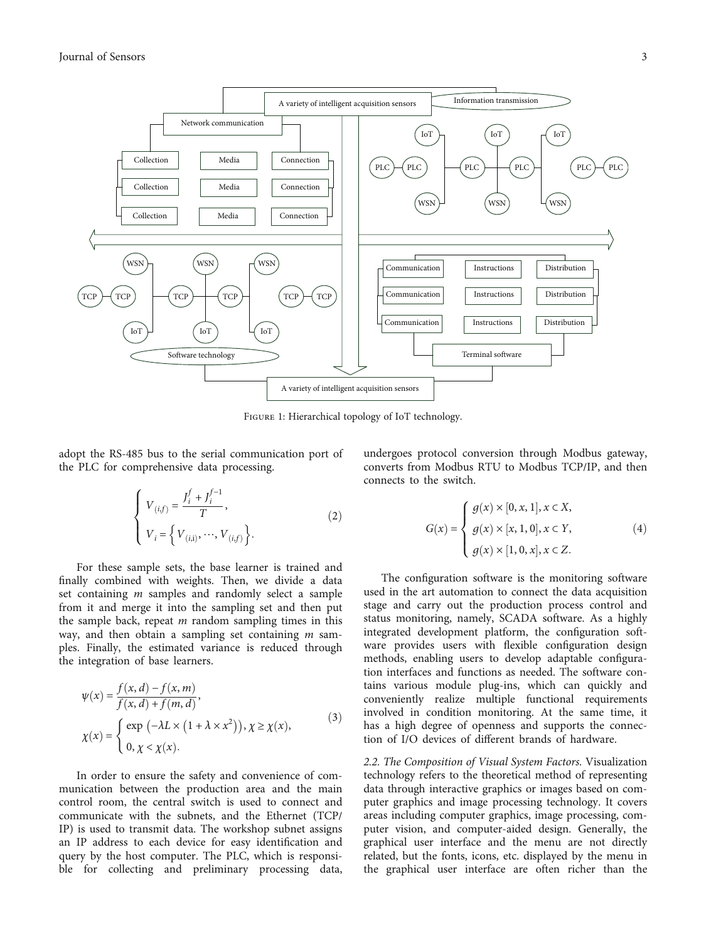<span id="page-2-0"></span>

Figure 1: Hierarchical topology of IoT technology.

adopt the RS-485 bus to the serial communication port of the PLC for comprehensive data processing.

$$
\left\{ \begin{aligned} V_{(i,f)} &= \frac{J_i^f + J_i^{f-1}}{T}, \\ V_i &= \left\{ V_{(i,i)}, \cdots, V_{(i,f)} \right\}. \end{aligned} \right.
$$
 (2)

For these sample sets, the base learner is trained and finally combined with weights. Then, we divide a data set containing *m* samples and randomly select a sample from it and merge it into the sampling set and then put the sample back, repeat *m* random sampling times in this way, and then obtain a sampling set containing *m* samples. Finally, the estimated variance is reduced through the integration of base learners.

$$
\psi(x) = \frac{f(x, d) - f(x, m)}{f(x, d) + f(m, d)},
$$
\n
$$
\chi(x) = \begin{cases}\n\exp(-\lambda L \times (1 + \lambda \times x^2)), & x \ge \chi(x), \\
0, & \chi < \chi(x).\n\end{cases}
$$
\n(3)

In order to ensure the safety and convenience of communication between the production area and the main control room, the central switch is used to connect and communicate with the subnets, and the Ethernet (TCP/ IP) is used to transmit data. The workshop subnet assigns an IP address to each device for easy identification and query by the host computer. The PLC, which is responsible for collecting and preliminary processing data, undergoes protocol conversion through Modbus gateway, converts from Modbus RTU to Modbus TCP/IP, and then connects to the switch.

$$
G(x) = \begin{cases} g(x) \times [0, x, 1], x \in X, \\ g(x) \times [x, 1, 0], x \in Y, \\ g(x) \times [1, 0, x], x \in Z. \end{cases}
$$
(4)

The configuration software is the monitoring software used in the art automation to connect the data acquisition stage and carry out the production process control and status monitoring, namely, SCADA software. As a highly integrated development platform, the configuration software provides users with flexible configuration design methods, enabling users to develop adaptable configuration interfaces and functions as needed. The software contains various module plug-ins, which can quickly and conveniently realize multiple functional requirements involved in condition monitoring. At the same time, it has a high degree of openness and supports the connection of I/O devices of different brands of hardware.

2.2. The Composition of Visual System Factors. Visualization technology refers to the theoretical method of representing data through interactive graphics or images based on computer graphics and image processing technology. It covers areas including computer graphics, image processing, computer vision, and computer-aided design. Generally, the graphical user interface and the menu are not directly related, but the fonts, icons, etc. displayed by the menu in the graphical user interface are often richer than the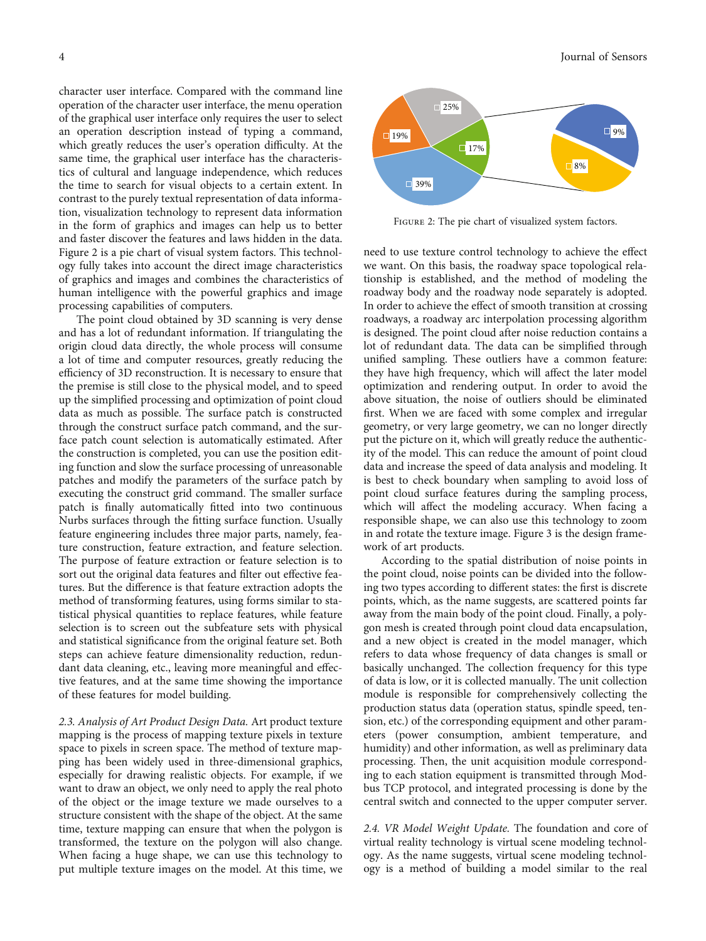character user interface. Compared with the command line operation of the character user interface, the menu operation of the graphical user interface only requires the user to select an operation description instead of typing a command, which greatly reduces the user's operation difficulty. At the same time, the graphical user interface has the characteristics of cultural and language independence, which reduces the time to search for visual objects to a certain extent. In contrast to the purely textual representation of data information, visualization technology to represent data information in the form of graphics and images can help us to better and faster discover the features and laws hidden in the data. Figure 2 is a pie chart of visual system factors. This technology fully takes into account the direct image characteristics of graphics and images and combines the characteristics of human intelligence with the powerful graphics and image processing capabilities of computers.

The point cloud obtained by 3D scanning is very dense and has a lot of redundant information. If triangulating the origin cloud data directly, the whole process will consume a lot of time and computer resources, greatly reducing the efficiency of 3D reconstruction. It is necessary to ensure that the premise is still close to the physical model, and to speed up the simplified processing and optimization of point cloud data as much as possible. The surface patch is constructed through the construct surface patch command, and the surface patch count selection is automatically estimated. After the construction is completed, you can use the position editing function and slow the surface processing of unreasonable patches and modify the parameters of the surface patch by executing the construct grid command. The smaller surface patch is finally automatically fitted into two continuous Nurbs surfaces through the fitting surface function. Usually feature engineering includes three major parts, namely, feature construction, feature extraction, and feature selection. The purpose of feature extraction or feature selection is to sort out the original data features and filter out effective features. But the difference is that feature extraction adopts the method of transforming features, using forms similar to statistical physical quantities to replace features, while feature selection is to screen out the subfeature sets with physical and statistical significance from the original feature set. Both steps can achieve feature dimensionality reduction, redundant data cleaning, etc., leaving more meaningful and effective features, and at the same time showing the importance of these features for model building.

2.3. Analysis of Art Product Design Data. Art product texture mapping is the process of mapping texture pixels in texture space to pixels in screen space. The method of texture mapping has been widely used in three-dimensional graphics, especially for drawing realistic objects. For example, if we want to draw an object, we only need to apply the real photo of the object or the image texture we made ourselves to a structure consistent with the shape of the object. At the same time, texture mapping can ensure that when the polygon is transformed, the texture on the polygon will also change. When facing a huge shape, we can use this technology to put multiple texture images on the model. At this time, we



Figure 2: The pie chart of visualized system factors.

need to use texture control technology to achieve the effect we want. On this basis, the roadway space topological relationship is established, and the method of modeling the roadway body and the roadway node separately is adopted. In order to achieve the effect of smooth transition at crossing roadways, a roadway arc interpolation processing algorithm is designed. The point cloud after noise reduction contains a lot of redundant data. The data can be simplified through unified sampling. These outliers have a common feature: they have high frequency, which will affect the later model optimization and rendering output. In order to avoid the above situation, the noise of outliers should be eliminated first. When we are faced with some complex and irregular geometry, or very large geometry, we can no longer directly put the picture on it, which will greatly reduce the authenticity of the model. This can reduce the amount of point cloud data and increase the speed of data analysis and modeling. It is best to check boundary when sampling to avoid loss of point cloud surface features during the sampling process, which will affect the modeling accuracy. When facing a responsible shape, we can also use this technology to zoom in and rotate the texture image. Figure [3](#page-4-0) is the design framework of art products.

According to the spatial distribution of noise points in the point cloud, noise points can be divided into the following two types according to different states: the first is discrete points, which, as the name suggests, are scattered points far away from the main body of the point cloud. Finally, a polygon mesh is created through point cloud data encapsulation, and a new object is created in the model manager, which refers to data whose frequency of data changes is small or basically unchanged. The collection frequency for this type of data is low, or it is collected manually. The unit collection module is responsible for comprehensively collecting the production status data (operation status, spindle speed, tension, etc.) of the corresponding equipment and other parameters (power consumption, ambient temperature, and humidity) and other information, as well as preliminary data processing. Then, the unit acquisition module corresponding to each station equipment is transmitted through Modbus TCP protocol, and integrated processing is done by the central switch and connected to the upper computer server.

2.4. VR Model Weight Update. The foundation and core of virtual reality technology is virtual scene modeling technology. As the name suggests, virtual scene modeling technology is a method of building a model similar to the real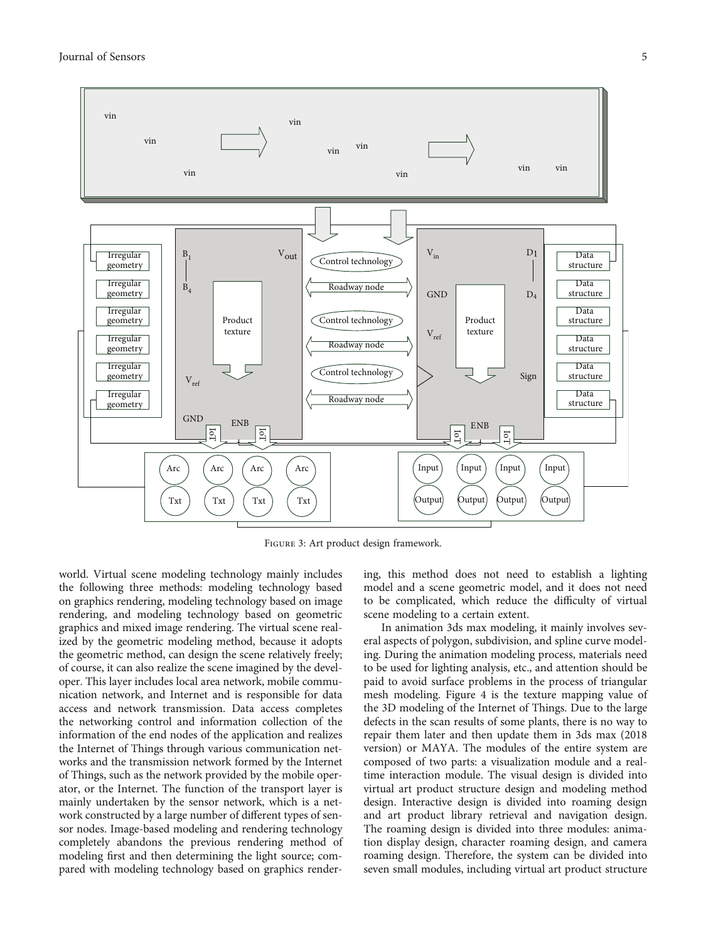<span id="page-4-0"></span>

Figure 3: Art product design framework.

world. Virtual scene modeling technology mainly includes the following three methods: modeling technology based on graphics rendering, modeling technology based on image rendering, and modeling technology based on geometric graphics and mixed image rendering. The virtual scene realized by the geometric modeling method, because it adopts the geometric method, can design the scene relatively freely; of course, it can also realize the scene imagined by the developer. This layer includes local area network, mobile communication network, and Internet and is responsible for data access and network transmission. Data access completes the networking control and information collection of the information of the end nodes of the application and realizes the Internet of Things through various communication networks and the transmission network formed by the Internet of Things, such as the network provided by the mobile operator, or the Internet. The function of the transport layer is mainly undertaken by the sensor network, which is a network constructed by a large number of different types of sensor nodes. Image-based modeling and rendering technology completely abandons the previous rendering method of modeling first and then determining the light source; compared with modeling technology based on graphics rendering, this method does not need to establish a lighting model and a scene geometric model, and it does not need to be complicated, which reduce the difficulty of virtual scene modeling to a certain extent.

In animation 3ds max modeling, it mainly involves several aspects of polygon, subdivision, and spline curve modeling. During the animation modeling process, materials need to be used for lighting analysis, etc., and attention should be paid to avoid surface problems in the process of triangular mesh modeling. Figure [4](#page-5-0) is the texture mapping value of the 3D modeling of the Internet of Things. Due to the large defects in the scan results of some plants, there is no way to repair them later and then update them in 3ds max (2018 version) or MAYA. The modules of the entire system are composed of two parts: a visualization module and a realtime interaction module. The visual design is divided into virtual art product structure design and modeling method design. Interactive design is divided into roaming design and art product library retrieval and navigation design. The roaming design is divided into three modules: animation display design, character roaming design, and camera roaming design. Therefore, the system can be divided into seven small modules, including virtual art product structure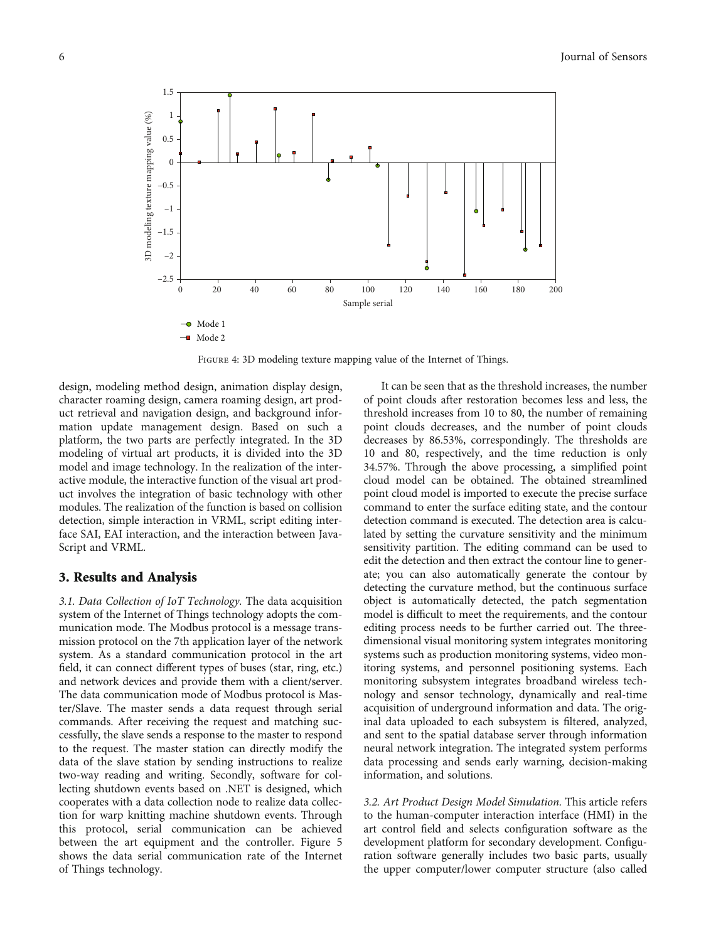<span id="page-5-0"></span>

FIGURE 4: 3D modeling texture mapping value of the Internet of Things.

design, modeling method design, animation display design, character roaming design, camera roaming design, art product retrieval and navigation design, and background information update management design. Based on such a platform, the two parts are perfectly integrated. In the 3D modeling of virtual art products, it is divided into the 3D model and image technology. In the realization of the interactive module, the interactive function of the visual art product involves the integration of basic technology with other modules. The realization of the function is based on collision detection, simple interaction in VRML, script editing interface SAI, EAI interaction, and the interaction between Java-Script and VRML.

#### 3. Results and Analysis

3.1. Data Collection of IoT Technology. The data acquisition system of the Internet of Things technology adopts the communication mode. The Modbus protocol is a message transmission protocol on the 7th application layer of the network system. As a standard communication protocol in the art field, it can connect different types of buses (star, ring, etc.) and network devices and provide them with a client/server. The data communication mode of Modbus protocol is Master/Slave. The master sends a data request through serial commands. After receiving the request and matching successfully, the slave sends a response to the master to respond to the request. The master station can directly modify the data of the slave station by sending instructions to realize two-way reading and writing. Secondly, software for collecting shutdown events based on .NET is designed, which cooperates with a data collection node to realize data collection for warp knitting machine shutdown events. Through this protocol, serial communication can be achieved between the art equipment and the controller. Figure [5](#page-6-0) shows the data serial communication rate of the Internet of Things technology.

It can be seen that as the threshold increases, the number of point clouds after restoration becomes less and less, the threshold increases from 10 to 80, the number of remaining point clouds decreases, and the number of point clouds decreases by 86.53%, correspondingly. The thresholds are 10 and 80, respectively, and the time reduction is only 34.57%. Through the above processing, a simplified point cloud model can be obtained. The obtained streamlined point cloud model is imported to execute the precise surface command to enter the surface editing state, and the contour detection command is executed. The detection area is calculated by setting the curvature sensitivity and the minimum sensitivity partition. The editing command can be used to edit the detection and then extract the contour line to generate; you can also automatically generate the contour by detecting the curvature method, but the continuous surface object is automatically detected, the patch segmentation model is difficult to meet the requirements, and the contour editing process needs to be further carried out. The threedimensional visual monitoring system integrates monitoring systems such as production monitoring systems, video monitoring systems, and personnel positioning systems. Each monitoring subsystem integrates broadband wireless technology and sensor technology, dynamically and real-time acquisition of underground information and data. The original data uploaded to each subsystem is filtered, analyzed, and sent to the spatial database server through information neural network integration. The integrated system performs data processing and sends early warning, decision-making information, and solutions.

3.2. Art Product Design Model Simulation. This article refers to the human-computer interaction interface (HMI) in the art control field and selects configuration software as the development platform for secondary development. Configuration software generally includes two basic parts, usually the upper computer/lower computer structure (also called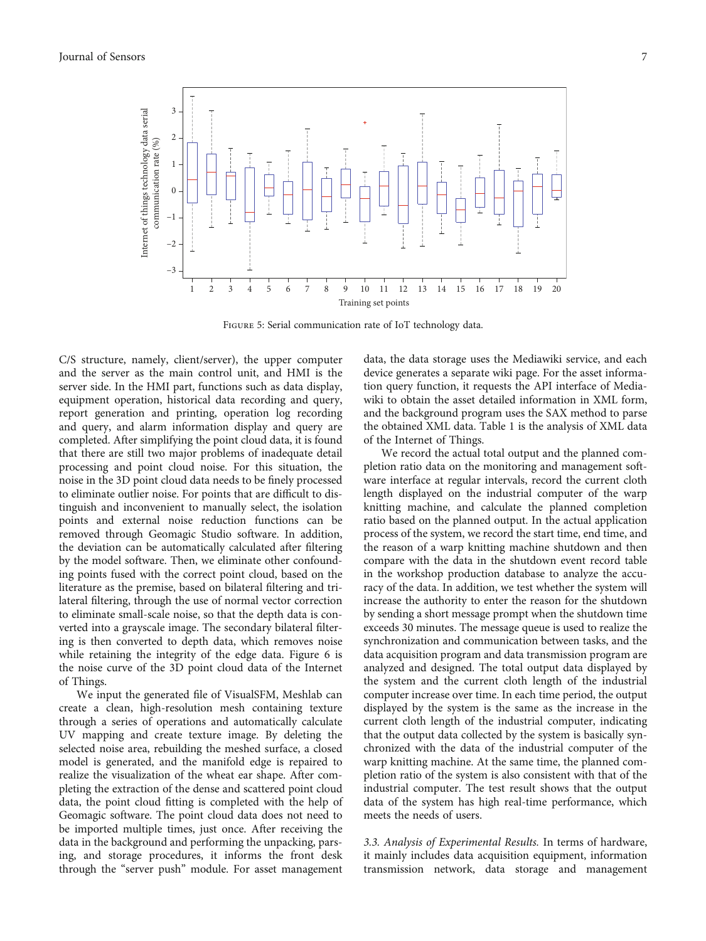<span id="page-6-0"></span>

Figure 5: Serial communication rate of IoT technology data.

C/S structure, namely, client/server), the upper computer and the server as the main control unit, and HMI is the server side. In the HMI part, functions such as data display, equipment operation, historical data recording and query, report generation and printing, operation log recording and query, and alarm information display and query are completed. After simplifying the point cloud data, it is found that there are still two major problems of inadequate detail processing and point cloud noise. For this situation, the noise in the 3D point cloud data needs to be finely processed to eliminate outlier noise. For points that are difficult to distinguish and inconvenient to manually select, the isolation points and external noise reduction functions can be removed through Geomagic Studio software. In addition, the deviation can be automatically calculated after filtering by the model software. Then, we eliminate other confounding points fused with the correct point cloud, based on the literature as the premise, based on bilateral filtering and trilateral filtering, through the use of normal vector correction to eliminate small-scale noise, so that the depth data is converted into a grayscale image. The secondary bilateral filtering is then converted to depth data, which removes noise while retaining the integrity of the edge data. Figure [6](#page-7-0) is the noise curve of the 3D point cloud data of the Internet of Things.

We input the generated file of VisualSFM, Meshlab can create a clean, high-resolution mesh containing texture through a series of operations and automatically calculate UV mapping and create texture image. By deleting the selected noise area, rebuilding the meshed surface, a closed model is generated, and the manifold edge is repaired to realize the visualization of the wheat ear shape. After completing the extraction of the dense and scattered point cloud data, the point cloud fitting is completed with the help of Geomagic software. The point cloud data does not need to be imported multiple times, just once. After receiving the data in the background and performing the unpacking, parsing, and storage procedures, it informs the front desk through the "server push" module. For asset management data, the data storage uses the Mediawiki service, and each device generates a separate wiki page. For the asset information query function, it requests the API interface of Mediawiki to obtain the asset detailed information in XML form, and the background program uses the SAX method to parse the obtained XML data. Table [1](#page-7-0) is the analysis of XML data of the Internet of Things.

We record the actual total output and the planned completion ratio data on the monitoring and management software interface at regular intervals, record the current cloth length displayed on the industrial computer of the warp knitting machine, and calculate the planned completion ratio based on the planned output. In the actual application process of the system, we record the start time, end time, and the reason of a warp knitting machine shutdown and then compare with the data in the shutdown event record table in the workshop production database to analyze the accuracy of the data. In addition, we test whether the system will increase the authority to enter the reason for the shutdown by sending a short message prompt when the shutdown time exceeds 30 minutes. The message queue is used to realize the synchronization and communication between tasks, and the data acquisition program and data transmission program are analyzed and designed. The total output data displayed by the system and the current cloth length of the industrial computer increase over time. In each time period, the output displayed by the system is the same as the increase in the current cloth length of the industrial computer, indicating that the output data collected by the system is basically synchronized with the data of the industrial computer of the warp knitting machine. At the same time, the planned completion ratio of the system is also consistent with that of the industrial computer. The test result shows that the output data of the system has high real-time performance, which meets the needs of users.

3.3. Analysis of Experimental Results. In terms of hardware, it mainly includes data acquisition equipment, information transmission network, data storage and management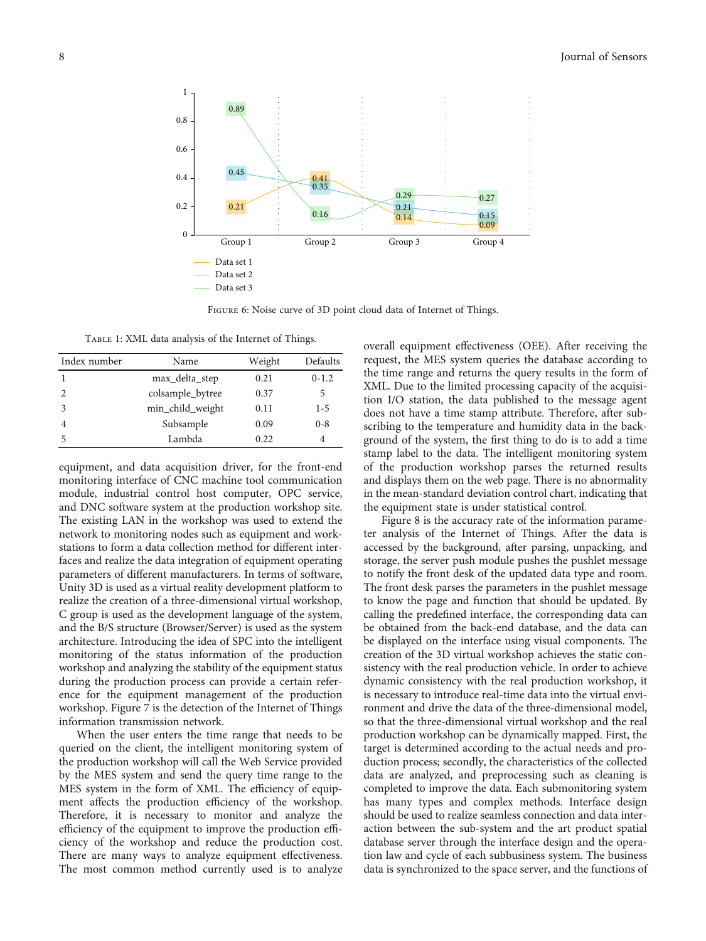<span id="page-7-0"></span>

Figure 6: Noise curve of 3D point cloud data of Internet of Things.

TABLE 1: XML data analysis of the Internet of Things.

| Index number | Name             | Weight | Defaults |
|--------------|------------------|--------|----------|
|              | max_delta_step   | 0.21   | $0-1.2$  |
|              | colsample_bytree | 0.37   | 5        |
|              | min_child_weight | 0.11   | 1-5      |
|              | Subsample        | 0.09   | $0 - 8$  |
|              | Lambda           | 0.22   |          |

equipment, and data acquisition driver, for the front-end monitoring interface of CNC machine tool communication module, industrial control host computer, OPC service, and DNC software system at the production workshop site. The existing LAN in the workshop was used to extend the network to monitoring nodes such as equipment and workstations to form a data collection method for different interfaces and realize the data integration of equipment operating parameters of different manufacturers. In terms of software, Unity 3D is used as a virtual reality development platform to realize the creation of a three-dimensional virtual workshop, C group is used as the development language of the system, and the B/S structure (Browser/Server) is used as the system architecture. Introducing the idea of SPC into the intelligent monitoring of the status information of the production workshop and analyzing the stability of the equipment status during the production process can provide a certain reference for the equipment management of the production workshop. Figure [7](#page-8-0) is the detection of the Internet of Things information transmission network.

When the user enters the time range that needs to be queried on the client, the intelligent monitoring system of the production workshop will call the Web Service provided by the MES system and send the query time range to the MES system in the form of XML. The efficiency of equipment affects the production efficiency of the workshop. Therefore, it is necessary to monitor and analyze the efficiency of the equipment to improve the production efficiency of the workshop and reduce the production cost. There are many ways to analyze equipment effectiveness. The most common method currently used is to analyze

overall equipment effectiveness (OEE). After receiving the request, the MES system queries the database according to the time range and returns the query results in the form of XML. Due to the limited processing capacity of the acquisition I/O station, the data published to the message agent does not have a time stamp attribute. Therefore, after subscribing to the temperature and humidity data in the background of the system, the first thing to do is to add a time stamp label to the data. The intelligent monitoring system of the production workshop parses the returned results and displays them on the web page. There is no abnormality in the mean-standard deviation control chart, indicating that the equipment state is under statistical control.

Figure [8](#page-8-0) is the accuracy rate of the information parameter analysis of the Internet of Things. After the data is accessed by the background, after parsing, unpacking, and storage, the server push module pushes the pushlet message to notify the front desk of the updated data type and room. The front desk parses the parameters in the pushlet message to know the page and function that should be updated. By calling the predefined interface, the corresponding data can be obtained from the back-end database, and the data can be displayed on the interface using visual components. The creation of the 3D virtual workshop achieves the static consistency with the real production vehicle. In order to achieve dynamic consistency with the real production workshop, it is necessary to introduce real-time data into the virtual environment and drive the data of the three-dimensional model, so that the three-dimensional virtual workshop and the real production workshop can be dynamically mapped. First, the target is determined according to the actual needs and production process; secondly, the characteristics of the collected data are analyzed, and preprocessing such as cleaning is completed to improve the data. Each submonitoring system has many types and complex methods. Interface design should be used to realize seamless connection and data interaction between the sub-system and the art product spatial database server through the interface design and the operation law and cycle of each subbusiness system. The business data is synchronized to the space server, and the functions of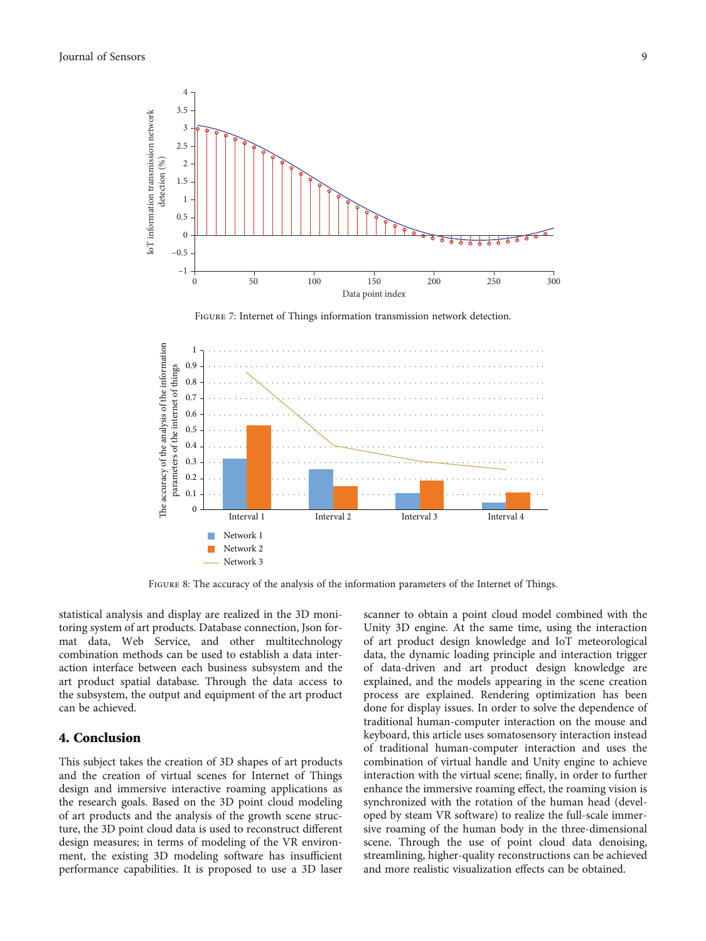<span id="page-8-0"></span>

FIGURE 7: Internet of Things information transmission network detection.



FIGURE 8: The accuracy of the analysis of the information parameters of the Internet of Things.

statistical analysis and display are realized in the 3D monitoring system of art products. Database connection, Json format data, Web Service, and other multitechnology combination methods can be used to establish a data interaction interface between each business subsystem and the art product spatial database. Through the data access to the subsystem, the output and equipment of the art product can be achieved.

#### 4. Conclusion

This subject takes the creation of 3D shapes of art products and the creation of virtual scenes for Internet of Things design and immersive interactive roaming applications as the research goals. Based on the 3D point cloud modeling of art products and the analysis of the growth scene structure, the 3D point cloud data is used to reconstruct different design measures; in terms of modeling of the VR environment, the existing 3D modeling software has insufficient performance capabilities. It is proposed to use a 3D laser

scanner to obtain a point cloud model combined with the Unity 3D engine. At the same time, using the interaction of art product design knowledge and IoT meteorological data, the dynamic loading principle and interaction trigger of data-driven and art product design knowledge are explained, and the models appearing in the scene creation process are explained. Rendering optimization has been done for display issues. In order to solve the dependence of traditional human-computer interaction on the mouse and keyboard, this article uses somatosensory interaction instead of traditional human-computer interaction and uses the combination of virtual handle and Unity engine to achieve interaction with the virtual scene; finally, in order to further enhance the immersive roaming effect, the roaming vision is synchronized with the rotation of the human head (developed by steam VR software) to realize the full-scale immersive roaming of the human body in the three-dimensional scene. Through the use of point cloud data denoising, streamlining, higher-quality reconstructions can be achieved and more realistic visualization effects can be obtained.